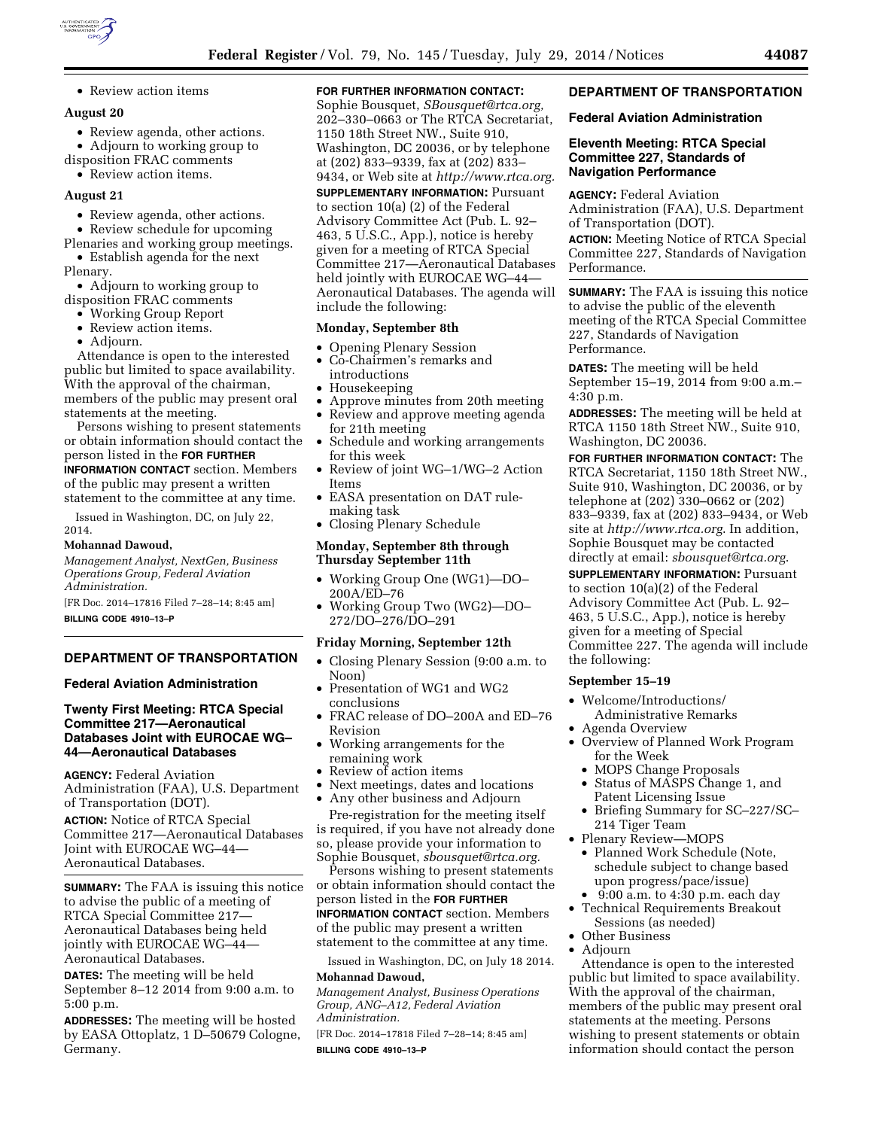

• Review action items

#### **August 20**

- Review agenda, other actions.
- Adjourn to working group to
- disposition FRAC comments
- Review action items.

# **August 21**

- Review agenda, other actions.
- Review schedule for upcoming

Plenaries and working group meetings. • Establish agenda for the next

Plenary.

• Adjourn to working group to disposition FRAC comments

- Working Group Report
- Review action items.
- Adjourn.

Attendance is open to the interested public but limited to space availability. With the approval of the chairman, members of the public may present oral statements at the meeting.

Persons wishing to present statements or obtain information should contact the person listed in the **FOR FURTHER INFORMATION CONTACT** section. Members of the public may present a written statement to the committee at any time.

Issued in Washington, DC, on July 22, 2014.

#### **Mohannad Dawoud,**

*Management Analyst, NextGen, Business Operations Group, Federal Aviation Administration.* 

[FR Doc. 2014–17816 Filed 7–28–14; 8:45 am]

**BILLING CODE 4910–13–P** 

# **DEPARTMENT OF TRANSPORTATION**

## **Federal Aviation Administration**

## **Twenty First Meeting: RTCA Special Committee 217—Aeronautical Databases Joint with EUROCAE WG– 44—Aeronautical Databases**

**AGENCY:** Federal Aviation Administration (FAA), U.S. Department of Transportation (DOT).

**ACTION:** Notice of RTCA Special Committee 217—Aeronautical Databases Joint with EUROCAE WG–44— Aeronautical Databases.

**SUMMARY:** The FAA is issuing this notice to advise the public of a meeting of RTCA Special Committee 217— Aeronautical Databases being held jointly with EUROCAE WG–44— Aeronautical Databases.

**DATES:** The meeting will be held September 8–12 2014 from 9:00 a.m. to 5:00 p.m.

**ADDRESSES:** The meeting will be hosted by EASA Ottoplatz, 1 D–50679 Cologne, Germany.

# **FOR FURTHER INFORMATION CONTACT:**

Sophie Bousquet, *[SBousquet@rtca.org,](mailto:SBousquet@rtca.org)*  202–330–0663 or The RTCA Secretariat, 1150 18th Street NW., Suite 910, Washington, DC 20036, or by telephone at (202) 833–9339, fax at (202) 833– 9434, or Web site at *[http://www.rtca.org.](http://www.rtca.org)* 

# **SUPPLEMENTARY INFORMATION:** Pursuant

to section 10(a) (2) of the Federal Advisory Committee Act (Pub. L. 92– 463, 5 U.S.C., App.), notice is hereby given for a meeting of RTCA Special Committee 217—Aeronautical Databases held jointly with EUROCAE WG–44— Aeronautical Databases. The agenda will include the following:

## **Monday, September 8th**

- Opening Plenary Session
- Co-Chairmen's remarks and
- introductions • Housekeeping
- 
- Approve minutes from 20th meeting • Review and approve meeting agenda
- for 21th meeting • Schedule and working arrangements for this week
- Review of joint WG–1/WG–2 Action Items
- EASA presentation on DAT rulemaking task
- Closing Plenary Schedule

#### **Monday, September 8th through Thursday September 11th**

- Working Group One (WG1)—DO– 200A/ED–76
- Working Group Two (WG2)—DO–

# 272/DO–276/DO–291

- **Friday Morning, September 12th**
- Closing Plenary Session (9:00 a.m. to Noon)
- Presentation of WG1 and WG2 conclusions
- FRAC release of DO–200A and ED–76 Revision
- Working arrangements for the remaining work
- Review of action items
- Next meetings, dates and locations
- Any other business and Adjourn Pre-registration for the meeting itself is required, if you have not already done

so, please provide your information to Sophie Bousquet, *[sbousquet@rtca.org.](mailto:sbousquet@rtca.org)* 

Persons wishing to present statements or obtain information should contact the person listed in the **FOR FURTHER INFORMATION CONTACT** section. Members

of the public may present a written statement to the committee at any time.

Issued in Washington, DC, on July 18 2014. **Mohannad Dawoud,** 

*Management Analyst, Business Operations Group, ANG–A12, Federal Aviation Administration.* 

[FR Doc. 2014–17818 Filed 7–28–14; 8:45 am] **BILLING CODE 4910–13–P** 

#### **DEPARTMENT OF TRANSPORTATION**

## **Federal Aviation Administration**

#### **Eleventh Meeting: RTCA Special Committee 227, Standards of Navigation Performance**

**AGENCY:** Federal Aviation Administration (FAA), U.S. Department of Transportation (DOT).

**ACTION:** Meeting Notice of RTCA Special Committee 227, Standards of Navigation Performance.

**SUMMARY:** The FAA is issuing this notice to advise the public of the eleventh meeting of the RTCA Special Committee 227, Standards of Navigation Performance.

**DATES:** The meeting will be held September 15–19, 2014 from 9:00 a.m.– 4:30 p.m.

**ADDRESSES:** The meeting will be held at RTCA 1150 18th Street NW., Suite 910, Washington, DC 20036.

**FOR FURTHER INFORMATION CONTACT:** The RTCA Secretariat, 1150 18th Street NW., Suite 910, Washington, DC 20036, or by telephone at (202) 330–0662 or (202) 833–9339, fax at (202) 833–9434, or Web site at *<http://www.rtca.org>*. In addition, Sophie Bousquet may be contacted directly at email: *[sbousquet@rtca.org](mailto:sbousquet@rtca.org)*.

**SUPPLEMENTARY INFORMATION: Pursuant** to section 10(a)(2) of the Federal Advisory Committee Act (Pub. L. 92– 463, 5 U.S.C., App.), notice is hereby given for a meeting of Special Committee 227. The agenda will include the following:

## **September 15–19**

- Welcome/Introductions/ Administrative Remarks
- Agenda Overview
- Overview of Planned Work Program for the Week
	- MOPS Change Proposals
	- Status of MASPS Change 1, and Patent Licensing Issue
	- Briefing Summary for SC–227/SC– 214 Tiger Team
- Plenary Review—MOPS
	- Planned Work Schedule (Note, schedule subject to change based upon progress/pace/issue)
	- 9:00 a.m. to 4:30 p.m. each day
- Technical Requirements Breakout Sessions (as needed) • Other Business
- Adjourn

Attendance is open to the interested public but limited to space availability. With the approval of the chairman, members of the public may present oral statements at the meeting. Persons wishing to present statements or obtain information should contact the person